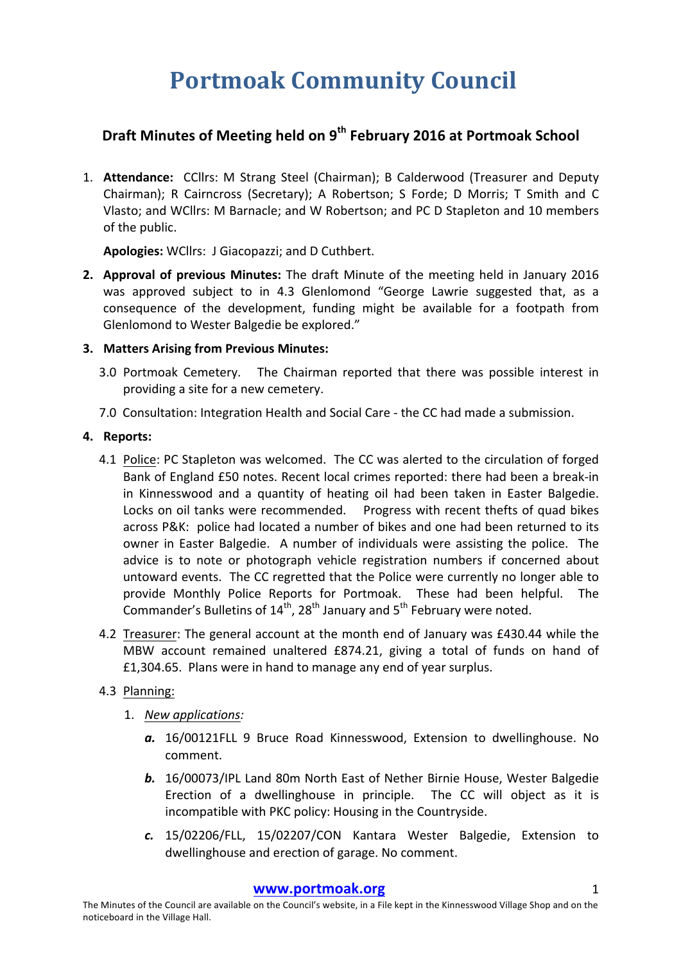# **Portmoak Community Council**

# **Draft Minutes of Meeting held on 9<sup>th</sup> February 2016 at Portmoak School**

1. **Attendance:** CCllrs: M Strang Steel (Chairman); B Calderwood (Treasurer and Deputy Chairman); R Cairncross (Secretary); A Robertson; S Forde; D Morris; T Smith and C Vlasto; and WCllrs: M Barnacle; and W Robertson; and PC D Stapleton and 10 members of the public.

Apologies: WCllrs: J Giacopazzi; and D Cuthbert.

**2.** Approval of previous Minutes: The draft Minute of the meeting held in January 2016 was approved subject to in 4.3 Glenlomond "George Lawrie suggested that, as a consequence of the development, funding might be available for a footpath from Glenlomond to Wester Balgedie be explored."

### **3. Matters Arising from Previous Minutes:**

- 3.0 Portmoak Cemetery. The Chairman reported that there was possible interest in providing a site for a new cemetery.
- 7.0 Consultation: Integration Health and Social Care the CC had made a submission.

### **4.** Reports:

- 4.1 Police: PC Stapleton was welcomed. The CC was alerted to the circulation of forged Bank of England £50 notes. Recent local crimes reported: there had been a break-in in Kinnesswood and a quantity of heating oil had been taken in Easter Balgedie. Locks on oil tanks were recommended. Progress with recent thefts of quad bikes across P&K: police had located a number of bikes and one had been returned to its owner in Easter Balgedie. A number of individuals were assisting the police. The advice is to note or photograph vehicle registration numbers if concerned about untoward events. The CC regretted that the Police were currently no longer able to provide Monthly Police Reports for Portmoak. These had been helpful. The Commander's Bulletins of  $14^{th}$ , 28<sup>th</sup> January and 5<sup>th</sup> February were noted.
- 4.2 Treasurer: The general account at the month end of January was £430.44 while the MBW account remained unaltered £874.21, giving a total of funds on hand of £1,304.65. Plans were in hand to manage any end of year surplus.

## 4.3 Planning:

- 1. *New applications:*
	- a. 16/00121FLL 9 Bruce Road Kinnesswood, Extension to dwellinghouse. No comment.
	- **b.** 16/00073/IPL Land 80m North East of Nether Birnie House, Wester Balgedie Erection of a dwellinghouse in principle. The CC will object as it is incompatible with PKC policy: Housing in the Countryside.
	- *c.* 15/02206/FLL, 15/02207/CON Kantara Wester Balgedie, Extension to dwellinghouse and erection of garage. No comment.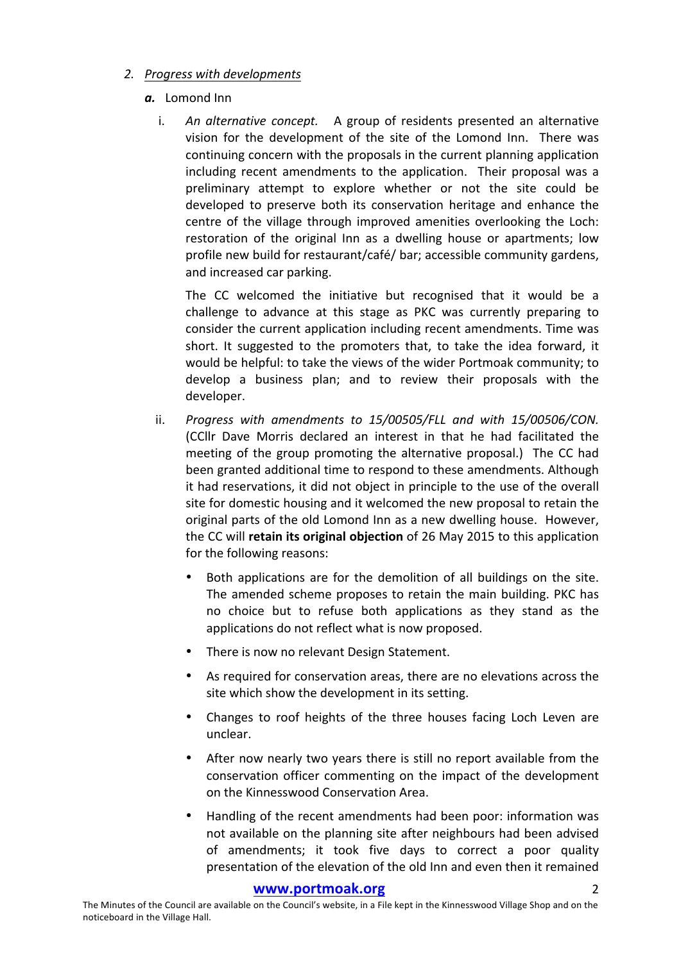### *2. Progress with developments*

#### *a.* Lomond Inn

i. An alternative concept. A group of residents presented an alternative vision for the development of the site of the Lomond Inn. There was continuing concern with the proposals in the current planning application including recent amendments to the application. Their proposal was a preliminary attempt to explore whether or not the site could be developed to preserve both its conservation heritage and enhance the centre of the village through improved amenities overlooking the Loch: restoration of the original Inn as a dwelling house or apartments; low profile new build for restaurant/café/ bar; accessible community gardens, and increased car parking.

The CC welcomed the initiative but recognised that it would be a challenge to advance at this stage as PKC was currently preparing to consider the current application including recent amendments. Time was short. It suggested to the promoters that, to take the idea forward, it would be helpful: to take the views of the wider Portmoak community; to develop a business plan; and to review their proposals with the developer.

- ii. *Progress with amendments to 15/00505/FLL and with 15/00506/CON.* (CCllr Dave Morris declared an interest in that he had facilitated the meeting of the group promoting the alternative proposal.) The CC had been granted additional time to respond to these amendments. Although it had reservations, it did not object in principle to the use of the overall site for domestic housing and it welcomed the new proposal to retain the original parts of the old Lomond Inn as a new dwelling house. However, the CC will retain its original objection of 26 May 2015 to this application for the following reasons:
	- Both applications are for the demolition of all buildings on the site. The amended scheme proposes to retain the main building. PKC has no choice but to refuse both applications as they stand as the applications do not reflect what is now proposed.
	- There is now no relevant Design Statement.
	- As required for conservation areas, there are no elevations across the site which show the development in its setting.
	- Changes to roof heights of the three houses facing Loch Leven are unclear.
	- After now nearly two years there is still no report available from the conservation officer commenting on the impact of the development on the Kinnesswood Conservation Area.
	- Handling of the recent amendments had been poor: information was not available on the planning site after neighbours had been advised of amendments; it took five days to correct a poor quality presentation of the elevation of the old Inn and even then it remained

#### **www.portmoak.org** 2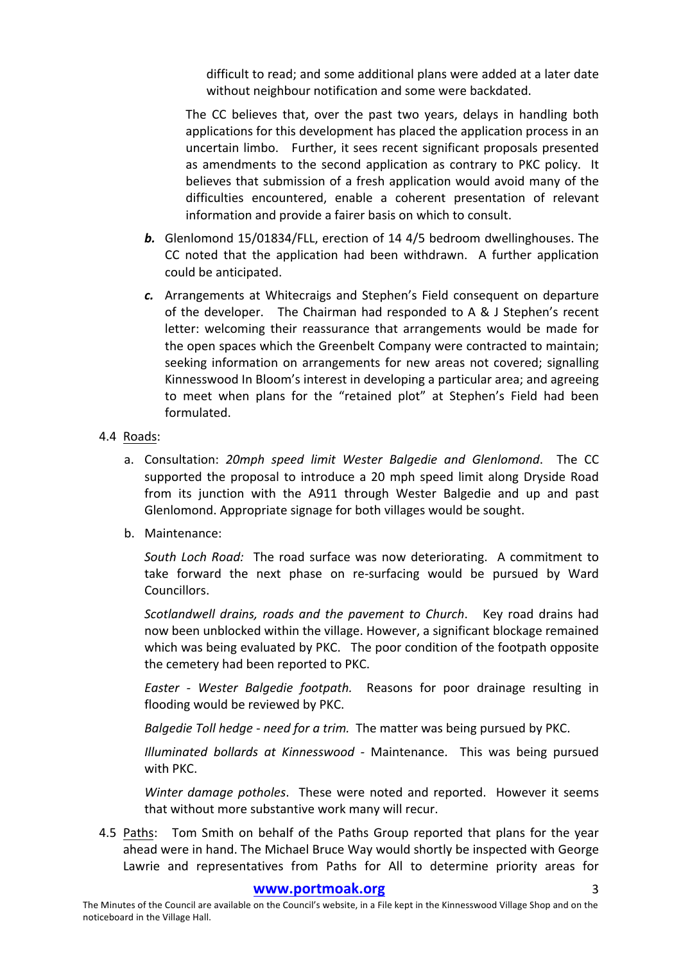difficult to read; and some additional plans were added at a later date without neighbour notification and some were backdated.

The CC believes that, over the past two years, delays in handling both applications for this development has placed the application process in an uncertain limbo. Further, it sees recent significant proposals presented as amendments to the second application as contrary to PKC policy. It believes that submission of a fresh application would avoid many of the difficulties encountered, enable a coherent presentation of relevant information and provide a fairer basis on which to consult.

- **b.** Glenlomond 15/01834/FLL, erection of 14 4/5 bedroom dwellinghouses. The CC noted that the application had been withdrawn. A further application could be anticipated.
- *c.* Arrangements at Whitecraigs and Stephen's Field consequent on departure of the developer. The Chairman had responded to A  $&$  J Stephen's recent letter: welcoming their reassurance that arrangements would be made for the open spaces which the Greenbelt Company were contracted to maintain; seeking information on arrangements for new areas not covered; signalling Kinnesswood In Bloom's interest in developing a particular area; and agreeing to meet when plans for the "retained plot" at Stephen's Field had been formulated.

#### 4.4 Roads:

- a. Consultation: 20mph speed limit Wester Balgedie and Glenlomond. The CC supported the proposal to introduce a 20 mph speed limit along Dryside Road from its junction with the A911 through Wester Balgedie and up and past Glenlomond. Appropriate signage for both villages would be sought.
- b. Maintenance:

*South Loch Road:* The road surface was now deteriorating. A commitment to take forward the next phase on re-surfacing would be pursued by Ward Councillors. 

*Scotlandwell drains, roads and the pavement to Church.* Key road drains had now been unblocked within the village. However, a significant blockage remained which was being evaluated by PKC. The poor condition of the footpath opposite the cemetery had been reported to PKC.

*Easter - Wester Balgedie footpath.* Reasons for poor drainage resulting in flooding would be reviewed by PKC.

*Balgedie Toll hedge - need for a trim.* The matter was being pursued by PKC.

*Illuminated bollards at Kinnesswood - Maintenance.* This was being pursued with PKC.

*Winter damage potholes*. These were noted and reported. However it seems that without more substantive work many will recur.

4.5 Paths: Tom Smith on behalf of the Paths Group reported that plans for the year ahead were in hand. The Michael Bruce Way would shortly be inspected with George Lawrie and representatives from Paths for All to determine priority areas for